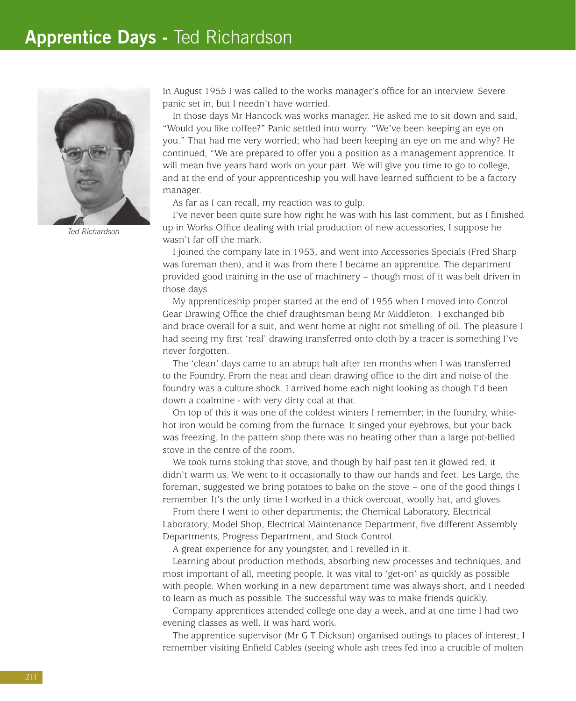## **Apprentice Days -** Ted Richardson



*Ted Richardson*

In August 1955 I was called to the works manager's office for an interview. Severe panic set in, but I needn't have worried.

In those days Mr Hancock was works manager. He asked me to sit down and said, "Would you like coffee?" Panic settled into worry. "We've been keeping an eye on you." That had me very worried; who had been keeping an eye on me and why? He continued, "We are prepared to offer you a position as a management apprentice. It will mean five years hard work on your part. We will give you time to go to college, and at the end of your apprenticeship you will have learned sufficient to be a factory manager.

As far as I can recall, my reaction was to gulp.

I've never been quite sure how right he was with his last comment, but as I finished up in Works Office dealing with trial production of new accessories, I suppose he wasn't far off the mark.

I joined the company late in 1953, and went into Accessories Specials (Fred Sharp was foreman then), and it was from there I became an apprentice. The department provided good training in the use of machinery – though most of it was belt driven in those days.

My apprenticeship proper started at the end of 1955 when I moved into Control Gear Drawing Office the chief draughtsman being Mr Middleton. I exchanged bib and brace overall for a suit, and went home at night not smelling of oil. The pleasure I had seeing my first 'real' drawing transferred onto cloth by a tracer is something I've never forgotten.

The 'clean' days came to an abrupt halt after ten months when I was transferred to the Foundry. From the neat and clean drawing office to the dirt and noise of the foundry was a culture shock. I arrived home each night looking as though I'd been down a coalmine - with very dirty coal at that.

On top of this it was one of the coldest winters I remember; in the foundry, whitehot iron would be coming from the furnace. It singed your eyebrows, but your back was freezing. In the pattern shop there was no heating other than a large pot-bellied stove in the centre of the room.

We took turns stoking that stove, and though by half past ten it glowed red, it didn't warm us. We went to it occasionally to thaw our hands and feet. Les Large, the foreman, suggested we bring potatoes to bake on the stove – one of the good things I remember. It's the only time I worked in a thick overcoat, woolly hat, and gloves.

From there I went to other departments; the Chemical Laboratory, Electrical Laboratory, Model Shop, Electrical Maintenance Department, five different Assembly Departments, Progress Department, and Stock Control.

A great experience for any youngster, and I revelled in it.

Learning about production methods, absorbing new processes and techniques, and most important of all, meeting people. It was vital to 'get-on' as quickly as possible with people. When working in a new department time was always short, and I needed to learn as much as possible. The successful way was to make friends quickly.

Company apprentices attended college one day a week, and at one time I had two evening classes as well. It was hard work.

The apprentice supervisor (Mr G T Dickson) organised outings to places of interest; I remember visiting Enfield Cables (seeing whole ash trees fed into a crucible of molten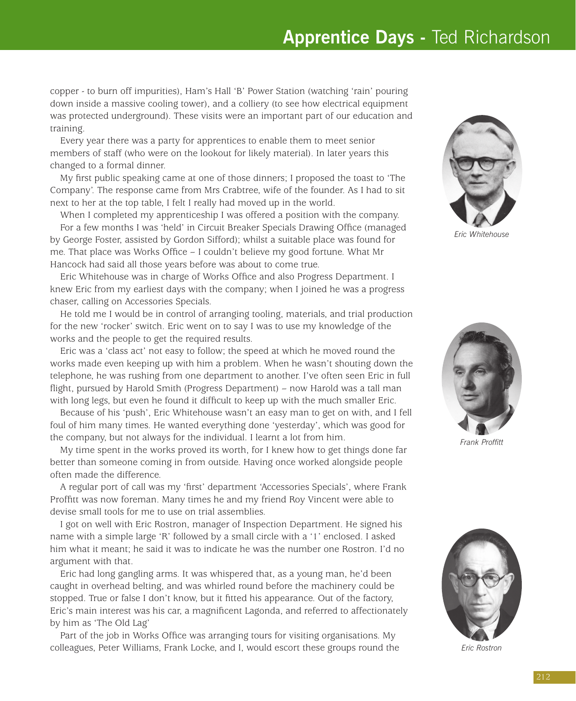## **Apprentice Days -** Ted Richardson

copper - to burn off impurities), Ham's Hall 'B' Power Station (watching 'rain' pouring down inside a massive cooling tower), and a colliery (to see how electrical equipment was protected underground). These visits were an important part of our education and training.

Every year there was a party for apprentices to enable them to meet senior members of staff (who were on the lookout for likely material). In later years this changed to a formal dinner.

My first public speaking came at one of those dinners; I proposed the toast to 'The Company'. The response came from Mrs Crabtree, wife of the founder. As I had to sit next to her at the top table, I felt I really had moved up in the world.

When I completed my apprenticeship I was offered a position with the company. For a few months I was 'held' in Circuit Breaker Specials Drawing Office (managed by George Foster, assisted by Gordon Sifford); whilst a suitable place was found for me. That place was Works Office – I couldn't believe my good fortune. What Mr Hancock had said all those years before was about to come true.

Eric Whitehouse was in charge of Works Office and also Progress Department. I knew Eric from my earliest days with the company; when I joined he was a progress chaser, calling on Accessories Specials.

He told me I would be in control of arranging tooling, materials, and trial production for the new 'rocker' switch. Eric went on to say I was to use my knowledge of the works and the people to get the required results.

Eric was a 'class act' not easy to follow; the speed at which he moved round the works made even keeping up with him a problem. When he wasn't shouting down the telephone, he was rushing from one department to another. I've often seen Eric in full flight, pursued by Harold Smith (Progress Department) – now Harold was a tall man with long legs, but even he found it difficult to keep up with the much smaller Eric.

Because of his 'push', Eric Whitehouse wasn't an easy man to get on with, and I fell foul of him many times. He wanted everything done 'yesterday', which was good for the company, but not always for the individual. I learnt a lot from him.

My time spent in the works proved its worth, for I knew how to get things done far better than someone coming in from outside. Having once worked alongside people often made the difference.

A regular port of call was my 'first' department 'Accessories Specials', where Frank Proffitt was now foreman. Many times he and my friend Roy Vincent were able to devise small tools for me to use on trial assemblies.

I got on well with Eric Rostron, manager of Inspection Department. He signed his name with a simple large 'R' followed by a small circle with a '1' enclosed. I asked him what it meant; he said it was to indicate he was the number one Rostron. I'd no argument with that.

Eric had long gangling arms. It was whispered that, as a young man, he'd been caught in overhead belting, and was whirled round before the machinery could be stopped. True or false I don't know, but it fitted his appearance. Out of the factory, Eric's main interest was his car, a magnificent Lagonda, and referred to affectionately by him as 'The Old Lag'

Part of the job in Works Office was arranging tours for visiting organisations. My colleagues, Peter Williams, Frank Locke, and I, would escort these groups round the



*Eric Whitehouse*



*Frank Proffitt*



*Eric Rostron*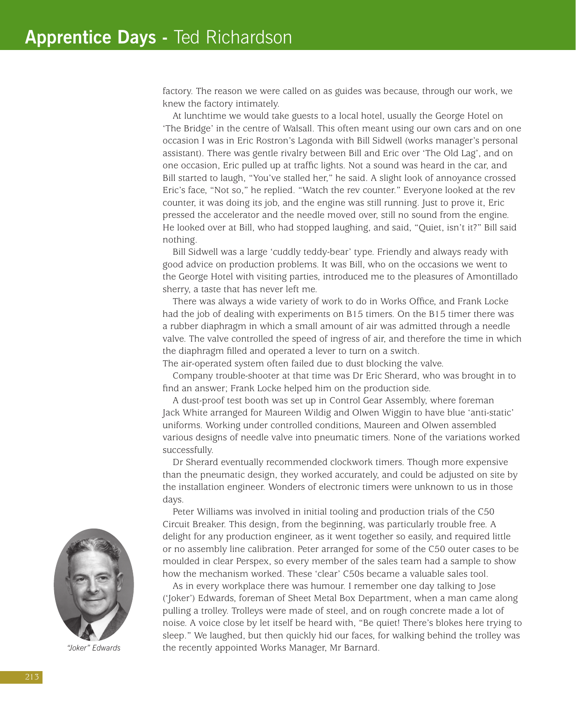factory. The reason we were called on as guides was because, through our work, we knew the factory intimately.

At lunchtime we would take guests to a local hotel, usually the George Hotel on 'The Bridge' in the centre of Walsall. This often meant using our own cars and on one occasion I was in Eric Rostron's Lagonda with Bill Sidwell (works manager's personal assistant). There was gentle rivalry between Bill and Eric over 'The Old Lag', and on one occasion, Eric pulled up at traffic lights. Not a sound was heard in the car, and Bill started to laugh, "You've stalled her," he said. A slight look of annoyance crossed Eric's face, "Not so," he replied. "Watch the rev counter." Everyone looked at the rev counter, it was doing its job, and the engine was still running. Just to prove it, Eric pressed the accelerator and the needle moved over, still no sound from the engine. He looked over at Bill, who had stopped laughing, and said, "Quiet, isn't it?" Bill said nothing.

Bill Sidwell was a large 'cuddly teddy-bear' type. Friendly and always ready with good advice on production problems. It was Bill, who on the occasions we went to the George Hotel with visiting parties, introduced me to the pleasures of Amontillado sherry, a taste that has never left me.

There was always a wide variety of work to do in Works Office, and Frank Locke had the job of dealing with experiments on B15 timers. On the B15 timer there was a rubber diaphragm in which a small amount of air was admitted through a needle valve. The valve controlled the speed of ingress of air, and therefore the time in which the diaphragm filled and operated a lever to turn on a switch.

The air-operated system often failed due to dust blocking the valve.

Company trouble-shooter at that time was Dr Eric Sherard, who was brought in to find an answer; Frank Locke helped him on the production side.

A dust-proof test booth was set up in Control Gear Assembly, where foreman Jack White arranged for Maureen Wildig and Olwen Wiggin to have blue 'anti-static' uniforms. Working under controlled conditions, Maureen and Olwen assembled various designs of needle valve into pneumatic timers. None of the variations worked successfully.

Dr Sherard eventually recommended clockwork timers. Though more expensive than the pneumatic design, they worked accurately, and could be adjusted on site by the installation engineer. Wonders of electronic timers were unknown to us in those days.

Peter Williams was involved in initial tooling and production trials of the C50 Circuit Breaker. This design, from the beginning, was particularly trouble free. A delight for any production engineer, as it went together so easily, and required little or no assembly line calibration. Peter arranged for some of the C50 outer cases to be moulded in clear Perspex, so every member of the sales team had a sample to show how the mechanism worked. These 'clear' C50s became a valuable sales tool.

As in every workplace there was humour. I remember one day talking to Jose ('Joker') Edwards, foreman of Sheet Metal Box Department, when a man came along pulling a trolley. Trolleys were made of steel, and on rough concrete made a lot of noise. A voice close by let itself be heard with, "Be quiet! There's blokes here trying to sleep." We laughed, but then quickly hid our faces, for walking behind the trolley was the recently appointed Works Manager, Mr Barnard.



*"Joker" Edwards*